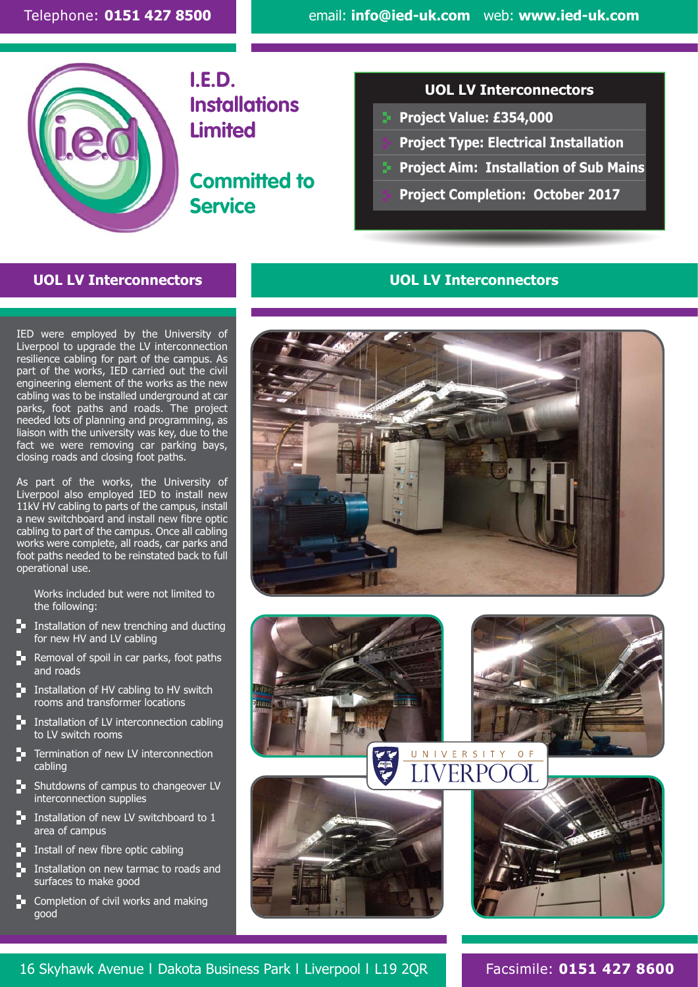

**I.E.D. Installations Limited**

**Committed to Service**

#### **UOL LV Interconnectors**

- ....................................................................................................................................................................... **Project Value: £354,000**
- **Project Type: Electrical Installation**
- **Project Aim: Installation of Sub Mains** 
	- **Project Completion: October 2017**

### **UOL LV Interconnectors UOL LV Interconnectors**

IED were employed by the University of Liverpool to upgrade the LV interconnection resilience cabling for part of the campus. As part of the works, IED carried out the civil engineering element of the works as the new cabling was to be installed underground at car parks, foot paths and roads. The project needed lots of planning and programming, as liaison with the university was key, due to the fact we were removing car parking bays, closing roads and closing foot paths.

As part of the works, the University of Liverpool also employed IED to install new 11kV HV cabling to parts of the campus, install a new switchboard and install new fibre optic cabling to part of the campus. Once all cabling works were complete, all roads, car parks and foot paths needed to be reinstated back to full operational use.

Works included but were not limited to the following:

- $\Box$  Installation of new trenching and ducting for new HV and LV cabling
- $\blacksquare$  Removal of spoil in car parks, foot paths and roads
- Installation of HV cabling to HV switch rooms and transformer locations
- Installation of LV interconnection cabling to LV switch rooms
- **T** Termination of new LV interconnection cabling
- $\blacktriangleright$  Shutdowns of campus to changeover LV interconnection supplies
- Installation of new LV switchboard to 1 area of campus
- $\Box$  Install of new fibre optic cabling
- Installation on new tarmac to roads and surfaces to make good
- **Completion of civil works and making** good





#### 16 Skyhawk Avenue l Dakota Business Park l Liverpool l L19 2QR Facsimile: **0151 427 8600**